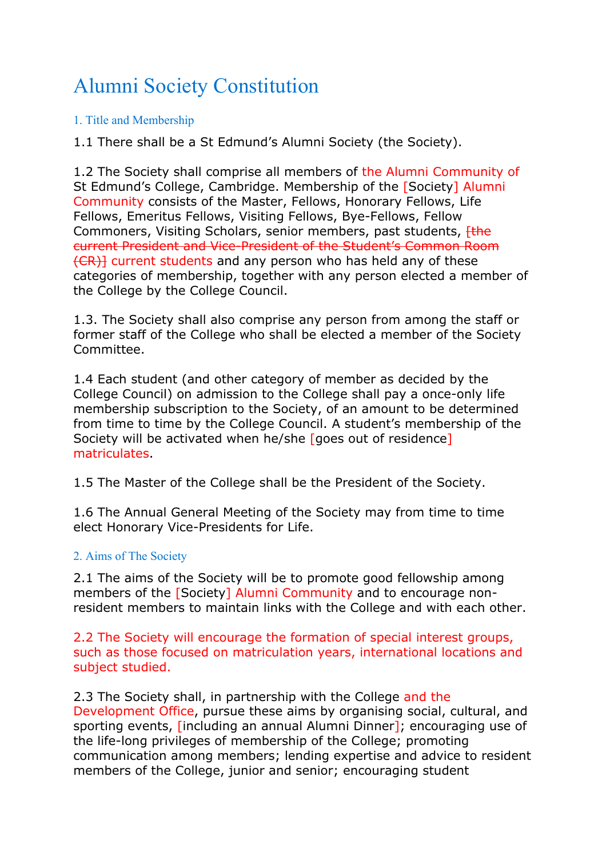# Alumni Society Constitution

# 1. Title and Membership

1.1 There shall be a St Edmund's Alumni Society (the Society).

1.2 The Society shall comprise all members of the Alumni Community of St Edmund's College, Cambridge. Membership of the [Society] Alumni Community consists of the Master, Fellows, Honorary Fellows, Life Fellows, Emeritus Fellows, Visiting Fellows, Bye-Fellows, Fellow Commoners, Visiting Scholars, senior members, past students, *[the*] current President and Vice-President of the Student's Common Room (CR)] current students and any person who has held any of these categories of membership, together with any person elected a member of the College by the College Council.

1.3. The Society shall also comprise any person from among the staff or former staff of the College who shall be elected a member of the Society Committee.

1.4 Each student (and other category of member as decided by the College Council) on admission to the College shall pay a once-only life membership subscription to the Society, of an amount to be determined from time to time by the College Council. A student's membership of the Society will be activated when he/she [goes out of residence] matriculates.

1.5 The Master of the College shall be the President of the Society.

1.6 The Annual General Meeting of the Society may from time to time elect Honorary Vice-Presidents for Life.

## 2. Aims of The Society

2.1 The aims of the Society will be to promote good fellowship among members of the [Society] Alumni Community and to encourage nonresident members to maintain links with the College and with each other.

2.2 The Society will encourage the formation of special interest groups, such as those focused on matriculation years, international locations and subject studied.

2.3 The Society shall, in partnership with the College and the Development Office, pursue these aims by organising social, cultural, and sporting events, [including an annual Alumni Dinner]; encouraging use of the life-long privileges of membership of the College; promoting communication among members; lending expertise and advice to resident members of the College, junior and senior; encouraging student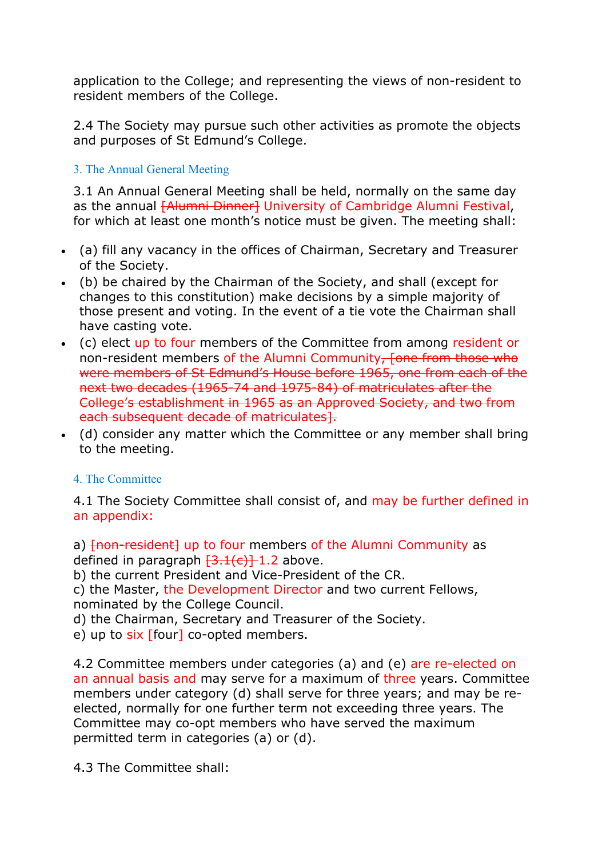application to the College; and representing the views of non-resident to resident members of the College.

2.4 The Society may pursue such other activities as promote the objects and purposes of St Edmund's College.

# 3. The Annual General Meeting

3.1 An Annual General Meeting shall be held, normally on the same day as the annual [Alumni Dinner] University of Cambridge Alumni Festival, for which at least one month's notice must be given. The meeting shall:

- (a) fill any vacancy in the offices of Chairman, Secretary and Treasurer of the Society.
- (b) be chaired by the Chairman of the Society, and shall (except for changes to this constitution) make decisions by a simple majority of those present and voting. In the event of a tie vote the Chairman shall have casting vote.
- (c) elect up to four members of the Committee from among resident or non-resident members of the Alumni Community, fone from those who were members of St Edmund's House before 1965, one from each of the next two decades (1965-74 and 1975-84) of matriculates after the College's establishment in 1965 as an Approved Society, and two from each subsequent decade of matriculates].
- (d) consider any matter which the Committee or any member shall bring to the meeting.

## 4. The Committee

4.1 The Society Committee shall consist of, and may be further defined in an appendix:

a)  $\{non-resident\}$  up to four members of the Alumni Community as defined in paragraph  $\frac{3.1(c)}{1.2}$  above.

b) the current President and Vice-President of the CR.

c) the Master, the Development Director and two current Fellows, nominated by the College Council.

d) the Chairman, Secretary and Treasurer of the Society.

e) up to  $six$  [four] co-opted members.

4.2 Committee members under categories (a) and (e) are re-elected on an annual basis and may serve for a maximum of three years. Committee members under category (d) shall serve for three years; and may be reelected, normally for one further term not exceeding three years. The Committee may co-opt members who have served the maximum permitted term in categories (a) or (d).

4.3 The Committee shall: